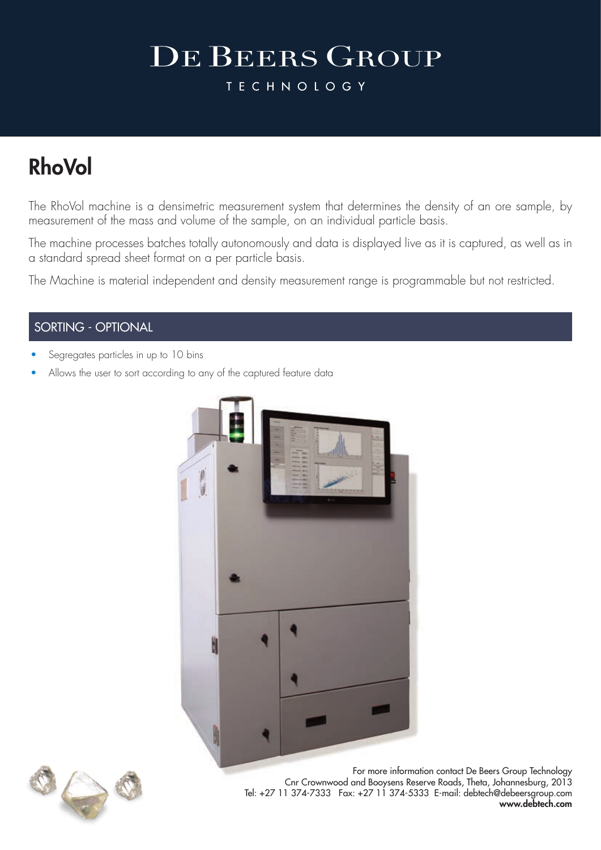**TECHNOLOGY** 

### RhoVol

The RhoVol machine is a densimetric measurement system that determines the density of an ore sample, by measurement of the mass and volume of the sample, on an individual particle basis.

The machine processes batches totally autonomously and data is displayed live as it is captured, as well as in a standard spread sheet format on a per particle basis.

The Machine is material independent and density measurement range is programmable but not restricted.

#### SORTING - OPTIONAL

- Segregates particles in up to 10 bins
- Allows the user to sort according to any of the captured feature data





For more information contact De Beers Group Technology Cnr Crownwood and Booysens Reserve Roads, Theta, Johannesburg, 2013 Tel: +27 11 374-7333 Fax: +27 11 374-5333 E-mail: debtech@debeersgroup.com www.debtech.com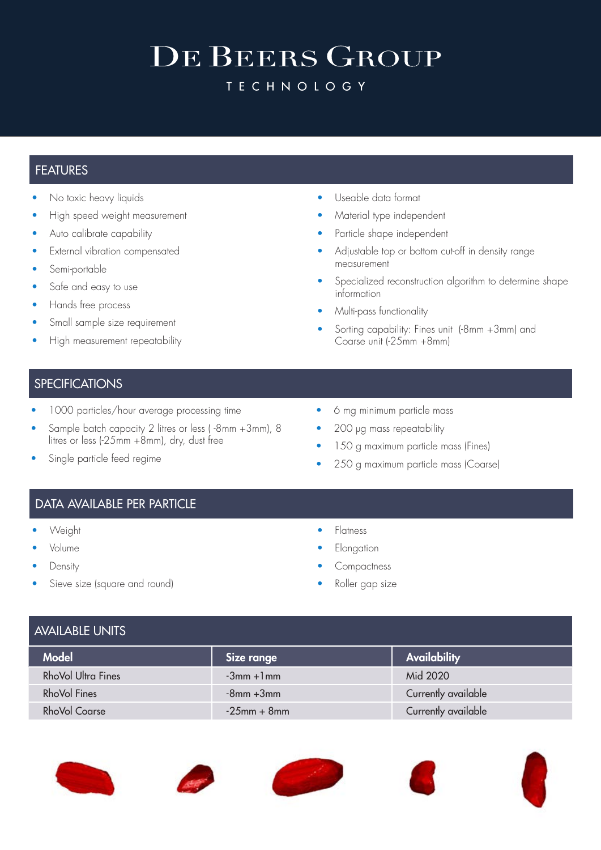**TECHNOLOGY** 

#### **FEATURES**

- No toxic heavy liquids
- High speed weight measurement
- Auto calibrate capability
- External vibration compensated
- Semi-portable
- Safe and easy to use
- Hands free process
- Small sample size requirement
- High measurement repeatability
- Useable data format
- Material type independent
- Particle shape independent
- Adjustable top or bottom cut-off in density range measurement
- Specialized reconstruction algorithm to determine shape information
- Multi-pass functionality
- Sorting capability: Fines unit (-8mm +3mm) and Coarse unit (-25mm +8mm)

#### **SPECIFICATIONS**

- 1000 particles/hour average processing time
- Sample batch capacity 2 litres or less ( -8mm +3mm), 8 litres or less (-25mm +8mm), dry, dust free
- Single particle feed regime
- 6 mg minimum particle mass
- 200 µg mass repeatability
- 150 g maximum particle mass (Fines)
- 250 g maximum particle mass (Coarse)

#### DATA AVAILABLE PER PARTICLE

- Weight
- Volume
- **Density**
- Sieve size (square and round)
- **Flatness**
- **Elongation**
- **Compactness**
- Roller gap size

| <b>AVAILABLE UNITS</b> |                     |
|------------------------|---------------------|
| Size range             | <b>Availability</b> |
| $-3mm + 1mm$           | Mid 2020            |
| $-8$ mm $+3$ mm        | Currently available |
| $-25$ mm + 8mm         | Currently available |
|                        |                     |









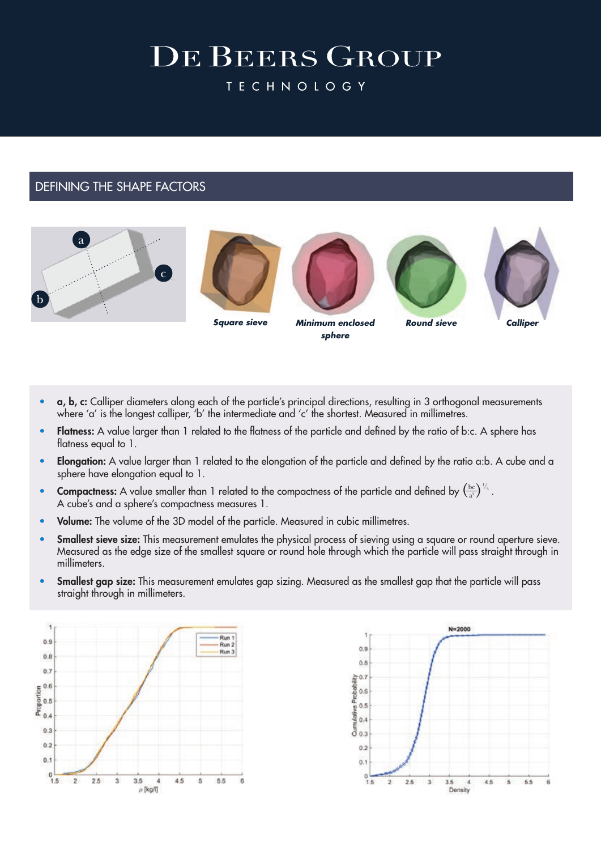**TECHNOLOGY** 

#### DEFINING THE SHAPE FACTORS







*Minimum enclosed Square sieve Round sieve Calliper sphere*





- a, b, c: Calliper diameters along each of the particle's principal directions, resulting in 3 orthogonal measurements where 'a' is the longest calliper, 'b' the intermediate and 'c' the shortest. Measured in millimetres.
- Flatness: A value larger than 1 related to the flatness of the particle and defined by the ratio of b:c. A sphere has flatness equal to 1.
- Elongation: A value larger than 1 related to the elongation of the particle and defined by the ratio a:b. A cube and a sphere have elongation equal to 1.
- Compactness: A value smaller than 1 related to the compactness of the particle and defined by  $\left(\frac{bc}{a^2}\right)^{1/3}$ . A cube's and a sphere's compactness measures 1.  $a^2$  $\frac{1}{3}$
- Volume: The volume of the 3D model of the particle. Measured in cubic millimetres.
- Smallest sieve size: This measurement emulates the physical process of sieving using a square or round aperture sieve. Measured as the edge size of the smallest square or round hole through which the particle will pass straight through in millimeters.
- Smallest gap size: This measurement emulates gap sizing. Measured as the smallest gap that the particle will pass straight through in millimeters.